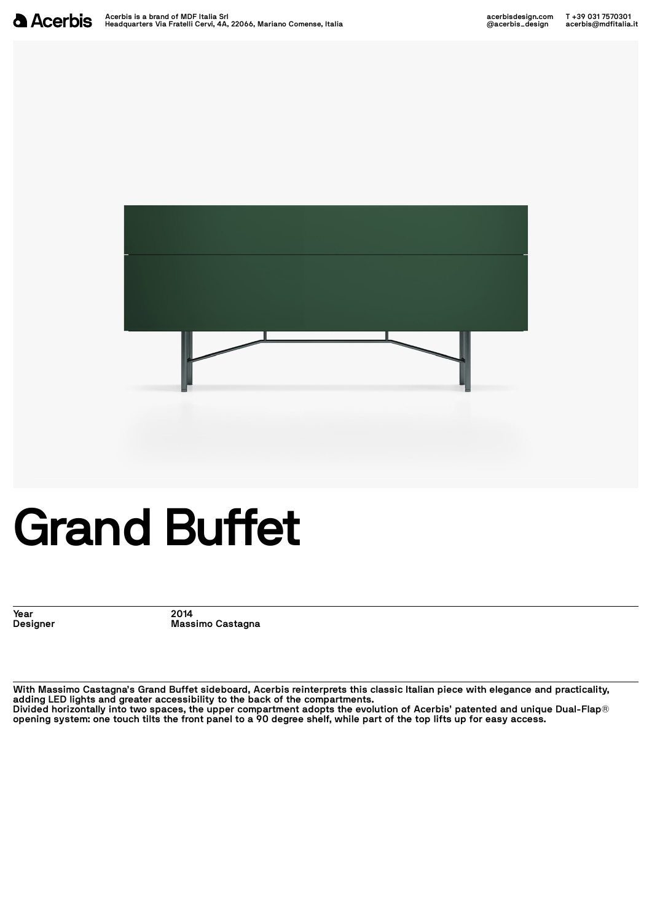

## **Grand Buffet**

**Year 2014**

**Designer Massimo Castagna**

With Massimo Castagna's Grand Buffet sideboard, Acerbis reinterprets this classic Italian piece with elegance and practicality,<br>adding LED lights and greater accessibility to the back of the compartments.<br>Divided horizonta opening system: one touch tilts the front panel to a 90 degree shelf, while part of the top lifts up for easy access.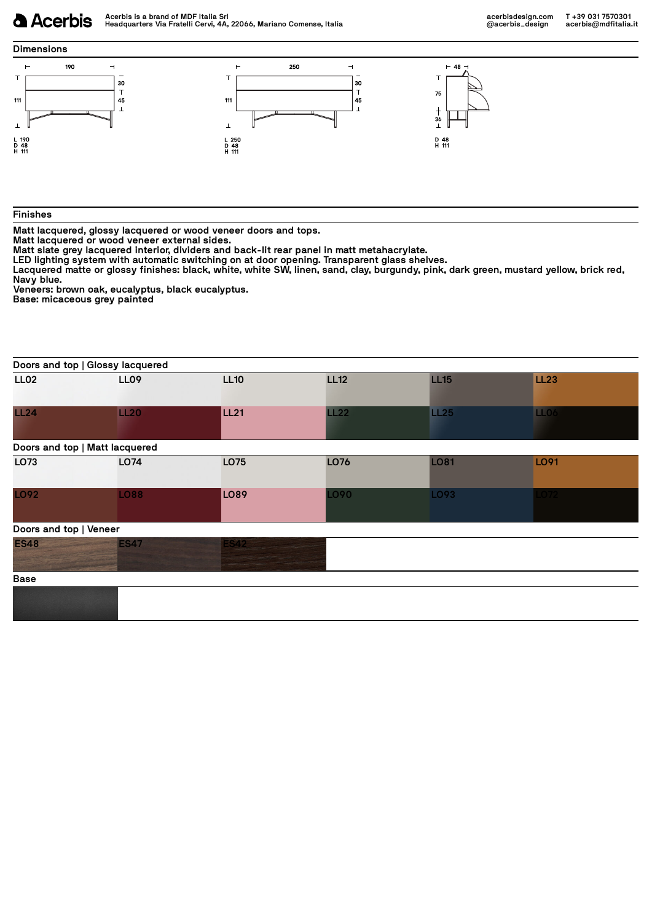## **a** Acerbis

## **Dimensions**



## **Finishes**

Matt lacquered, glossy lacquered or wood veneer doors and tops.<br>
Matt lacquered or wood veneer external sides.<br>
Matt slate grey lacquered interior, dividers and back-lit rear panel in matt metahacrylate.<br>
LED lighting syst

|                        | Doors and top   Glossy lacquered |                  |             |             |                  |  |
|------------------------|----------------------------------|------------------|-------------|-------------|------------------|--|
| LL <sub>02</sub>       | <b>LL09</b>                      | <b>LL10</b>      | <b>LL12</b> | <b>LL15</b> | <b>LL23</b>      |  |
| LL24                   | LL20                             | LL <sub>21</sub> | LL22        | <b>LL25</b> | LL <sub>06</sub> |  |
|                        | Doors and top   Matt lacquered   |                  |             |             |                  |  |
| LO73                   | LO74                             | LO75             | LO76        | <b>LO81</b> | LO91             |  |
| <b>LO92</b>            | <b>LO88</b>                      | LO <sub>89</sub> | LO90        | LO93        | 072              |  |
| Doors and top   Veneer |                                  |                  |             |             |                  |  |
| <b>ES48</b>            | <b>ES47</b>                      | <b>ES42</b>      |             |             |                  |  |
| <b>Base</b>            |                                  |                  |             |             |                  |  |
|                        |                                  |                  |             |             |                  |  |